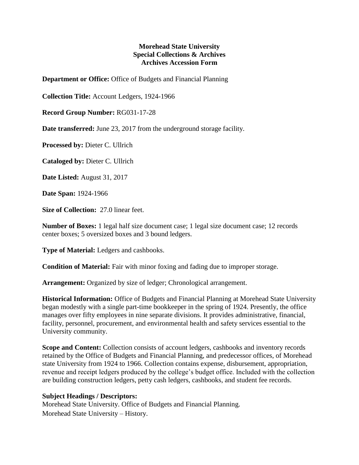## **Morehead State University Special Collections & Archives Archives Accession Form**

**Department or Office:** Office of Budgets and Financial Planning

**Collection Title:** Account Ledgers, 1924-1966

**Record Group Number:** RG031-17-28

**Date transferred:** June 23, 2017 from the underground storage facility.

**Processed by:** Dieter C. Ullrich

**Cataloged by:** Dieter C. Ullrich

**Date Listed:** August 31, 2017

**Date Span:** 1924-1966

**Size of Collection:** 27.0 linear feet.

**Number of Boxes:** 1 legal half size document case; 1 legal size document case; 12 records center boxes; 5 oversized boxes and 3 bound ledgers.

**Type of Material:** Ledgers and cashbooks.

**Condition of Material:** Fair with minor foxing and fading due to improper storage.

**Arrangement:** Organized by size of ledger; Chronological arrangement.

**Historical Information:** Office of Budgets and Financial Planning at Morehead State University began modestly with a single part-time bookkeeper in the spring of 1924. Presently, the office manages over fifty employees in nine separate divisions. It provides administrative, financial, facility, personnel, procurement, and environmental health and safety services essential to the University community.

**Scope and Content:** Collection consists of account ledgers, cashbooks and inventory records retained by the Office of Budgets and Financial Planning, and predecessor offices, of Morehead state University from 1924 to 1966. Collection contains expense, disbursement, appropriation, revenue and receipt ledgers produced by the college's budget office. Included with the collection are building construction ledgers, petty cash ledgers, cashbooks, and student fee records.

## **Subject Headings / Descriptors:**

Morehead State University. Office of Budgets and Financial Planning. Morehead State University – History.